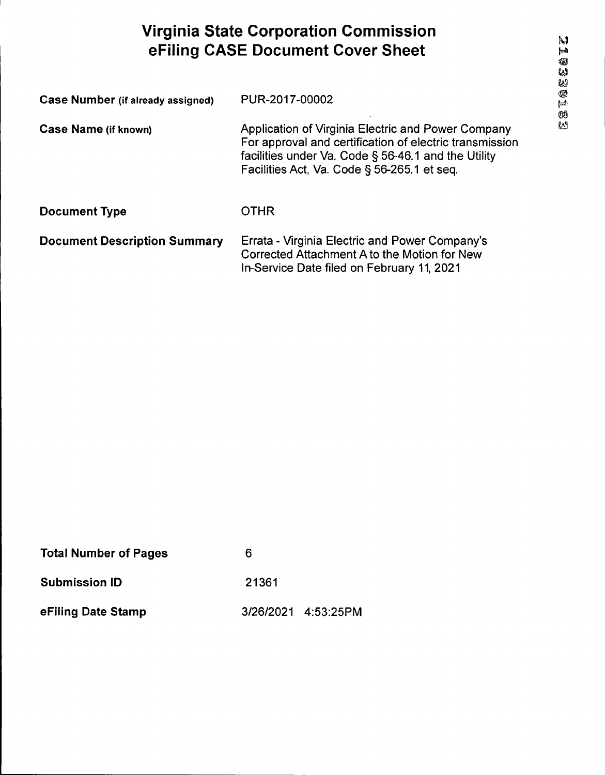## **Virginia State Corporation Commission eFiling CASE Document Cover Sheet**

| Case Number (if already assigned)   | PUR-2017-00002                                                                                                                                                                                                      |  |
|-------------------------------------|---------------------------------------------------------------------------------------------------------------------------------------------------------------------------------------------------------------------|--|
| <b>Case Name (if known)</b>         | Application of Virginia Electric and Power Company<br>For approval and certification of electric transmission<br>facilities under Va. Code § 56-46.1 and the Utility<br>Facilities Act, Va. Code § 56-265.1 et seq. |  |
| <b>Document Type</b>                | <b>OTHR</b>                                                                                                                                                                                                         |  |
| <b>Document Description Summary</b> | Errata - Virginia Electric and Power Company's<br>Corrected Attachment A to the Motion for New<br>In-Service Date filed on February 11, 2021                                                                        |  |

| <b>Total Number of Pages</b> | 6     |                     |
|------------------------------|-------|---------------------|
| <b>Submission ID</b>         | 21361 |                     |
| eFiling Date Stamp           |       | 3/26/2021 4:53:25PM |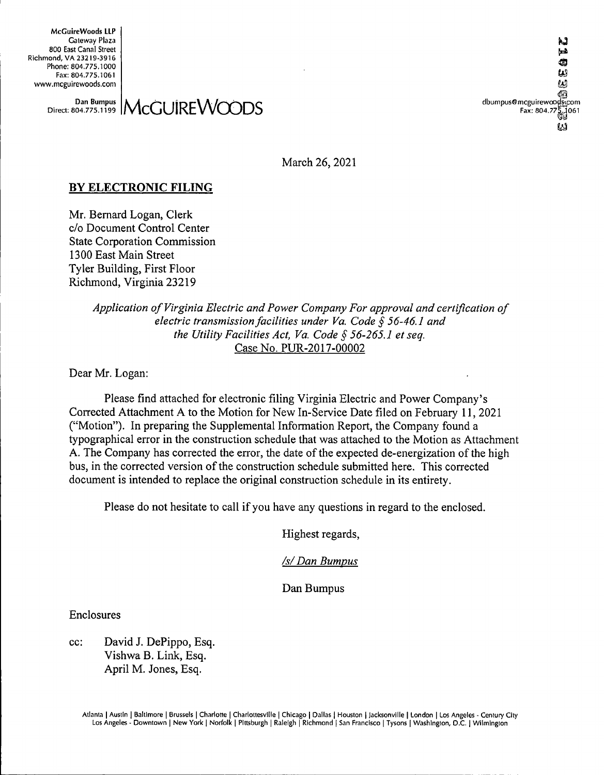**McCuireWoods LLP Gateway Plaza** to **800 East Canal Street Richmond, VA 23219-3916 Phone: 804.775,1000 Fax: 804.775.1061**

**Example 32219-3916**<br>
Phone: 804.775.1000<br>
Fax: 804.775.1000<br>
We my mcguirewoods.com<br>
Dan Bumpus **AACCILIDE AACCILID Fax: 804.7 061** LΔ

**Dan Bumpus Direct: 804.775.1199** McGUIREWOODS **dbumpus®mcguirewo com**

**March 26, 2021**

#### **BY ELECTRONIC FILING**

**Mr. Bernard Logan, Clerk c/o Document Control Center State Corporation Commission 1300 East Main Street Tyler Building, First Floor Richmond, Virginia 23219**

> *Application ofVirginia Electric and Power Company For approval and certification of electric transmissionfacilities under Va. Code § 56-46.1 and the Utility Facilities Act, Va. Code § 56-265.1 et seq.* **Case No. PUR-2017-00002**

**Dear Mr. Logan:**

**Please find attached for electronic filing Virginia Electric and Power Company's Corrected Attachment A to the Motion for New In-Service Date filed on February 11, 2021 ("Motion"). In preparing the Supplemental Information Report, the Company found a typographical error in the construction schedule that was attached to the Motion as Attachment A. The Company has corrected the error, the date ofthe expected de-energization ofthe high bus, in the corrected version of the construction schedule submitted here. This corrected document is intended to replace the original construction schedule in its entirety.**

**Please do not hesitate to call ifyou have any questions in regard to the enclosed.**

**Highest regards.**

*/s/Dan Bumpus*

**Dan Bumpus**

**Enclosures**

**cc: David J. DePippo, Esq. Vishwa B. Link, Esq. April M. Jones, Esq.**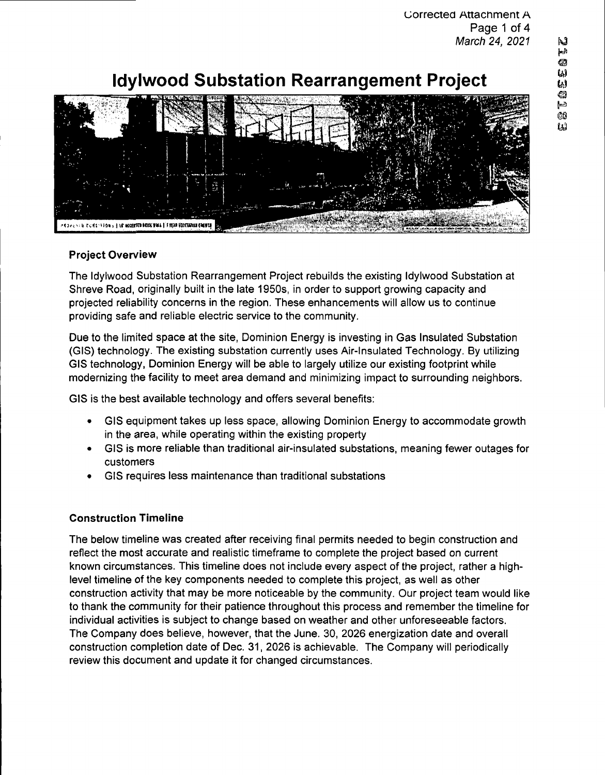# **Idylwood Substation Rearrangement Project**



#### **Project Overview**

The Idylwood Substation Rearrangement Project rebuilds the existing Idylwood Substation at Shreve Road, originally built in the late 1950s, in order to support growing capacity and projected reliability concerns in the region. These enhancements will allow us to continue providing safe and reliable electric service to the community.

Due to the limited space at the site, Dominion Energy is investing in Gas Insulated Substation (GIS) technology. The existing substation currently uses Air-Insulated Technology. By utilizing GIS technology, Dominion Energy will be able to largely utilize our existing footprint while modernizing the facility to meet area demand and minimizing impact to surrounding neighbors.

GIS is the best available technology and offers several benefits:

- GIS equipment takes up less space, allowing Dominion Energy to accommodate growth in the area, while operating within the existing property
- GIS is more reliable than traditional air-insulated substations, meaning fewer outages for customers
- GIS requires less maintenance than traditional substations

#### **Construction Timeline**

The below timeline was created after receiving final permits needed to begin construction and reflect the most accurate and realistic timeframe to complete the project based on current known circumstances. This timeline does not include every aspect of the project, rather a highlevel timeline of the key components needed to complete this project, as well as other construction activity that may be more noticeable by the community. Our project team would like to thank the community for their patience throughout this process and remember the timeline for individual activities is subject to change based on weather and other unforeseeable factors. The Company does believe, however, that the June. 30, 2026 energization date and overall construction completion date of Dec. 31, 2026 is achievable. The Company will periodically review this document and update it for changed circumstances.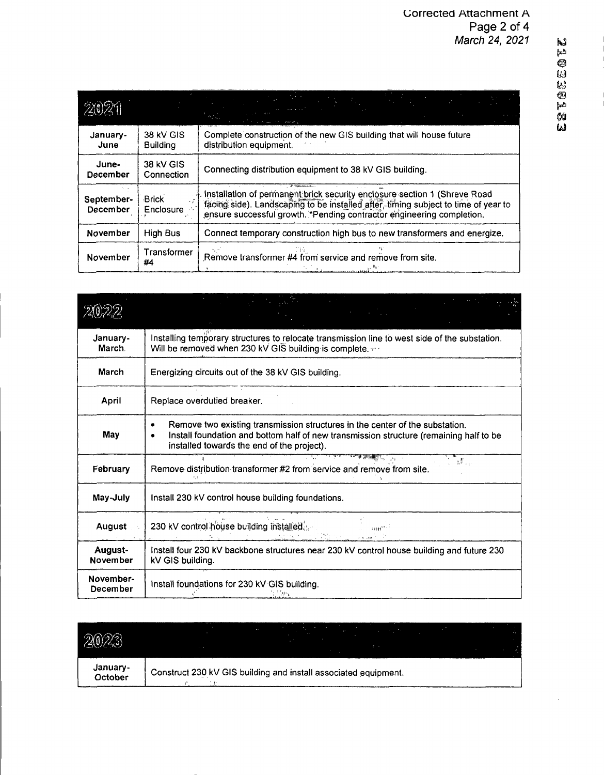| 91091                  |                                     |                                                                                                                                                                                                                                            |
|------------------------|-------------------------------------|--------------------------------------------------------------------------------------------------------------------------------------------------------------------------------------------------------------------------------------------|
| January-<br>June       | <b>38 kV GIS</b><br><b>Building</b> | Complete construction of the new GIS building that will house future<br>distribution equipment.                                                                                                                                            |
| June-<br>December      | 38 kV GIS<br>Connection             | Connecting distribution equipment to 38 kV GIS building.                                                                                                                                                                                   |
| September-<br>December | <b>Brick</b><br>Enclosure           | . Installation of permanent brick security enclosure section 1 (Shreve Road<br>facing side). Landscaping to be installed after, timing subject to time of year to<br>ensure successful growth. *Pending contractor engineering completion. |
| November               | High Bus                            | Connect temporary construction high bus to new transformers and energize.                                                                                                                                                                  |
| November               | Transformer<br>#4                   | Remove transformer #4 from service and remove from site.                                                                                                                                                                                   |

| January-<br><b>March</b>   | Installing temporary structures to relocate transmission line to west side of the substation.<br>Will be removed when 230 kV GIS building is complete.                                                               |  |  |
|----------------------------|----------------------------------------------------------------------------------------------------------------------------------------------------------------------------------------------------------------------|--|--|
| March                      | Energizing circuits out of the 38 kV GIS building.                                                                                                                                                                   |  |  |
| April                      | Replace overdutied breaker.                                                                                                                                                                                          |  |  |
| May                        | Remove two existing transmission structures in the center of the substation.<br>Install foundation and bottom half of new transmission structure (remaining half to be<br>installed towards the end of the project). |  |  |
| February                   | TEMPERATUR<br>Remove distribution transformer #2 from service and remove from site.                                                                                                                                  |  |  |
| May-July                   | Install 230 kV control house building foundations.                                                                                                                                                                   |  |  |
| August .                   | 230 kV control house building installed<br>an de la propietat de la propietat de la propietat de la propietat de la propietat de la propietat de la propi                                                            |  |  |
| August-<br><b>November</b> | Install four 230 kV backbone structures near 230 kV control house building and future 230<br>kV GIS building.                                                                                                        |  |  |
| November-<br>December      | Install foundations for 230 kV GIS building.<br>医血管炎 医血管炎 医血管炎 医骨髓瘤                                                                                                                                                  |  |  |

| 2023                |                                                                 |
|---------------------|-----------------------------------------------------------------|
| January-<br>October | Construct 230 kV GIS building and install associated equipment. |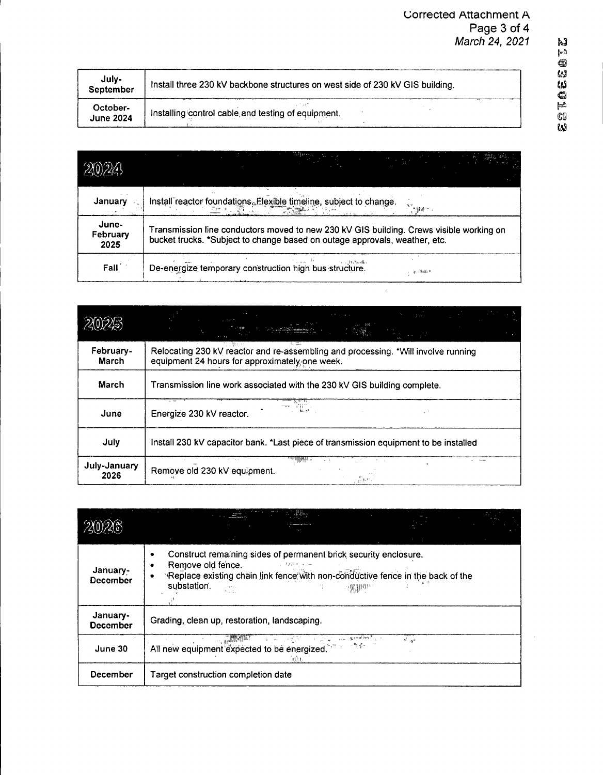| R.J |
|-----|
| ئعا |
| o   |
| W   |
| IJ, |
| 43  |
| ᆋ   |
| CO  |
| ш   |

| July-<br>September           | Install three 230 kV backbone structures on west side of 230 kV GIS building. |
|------------------------------|-------------------------------------------------------------------------------|
| October-<br><b>June 2024</b> | Installing control cable and testing of equipment.                            |

| January                   | Install reactor foundations. Flexible timeline, subject to change.<br>医髓痨的                                                                                                                                    |  |
|---------------------------|---------------------------------------------------------------------------------------------------------------------------------------------------------------------------------------------------------------|--|
| June-<br>February<br>2025 | Transmission line conductors moved to new 230 kV GIS building. Crews visible working on<br>bucket trucks. *Subject to change based on outage approvals, weather, etc.                                         |  |
| Fall <sup>2</sup>         | $\mathcal{F} = \mathcal{F} \mathcal{F} \mathcal{F} \mathcal{F} \mathcal{F} \mathcal{F} \mathcal{F} \mathcal{F} \mathcal{F} \mathcal{F}$<br>De-energize temporary construction high bus structure.<br>(9.19.9) |  |

 $\sim$ 

|                      | <u>e a grupo de la p</u><br>and a suite<br><b>Burger</b>                                                                            |
|----------------------|-------------------------------------------------------------------------------------------------------------------------------------|
| February-<br>March   | Relocating 230 kV reactor and re-assembling and processing. *Will involve running<br>equipment 24 hours for approximately one week. |
| <b>March</b>         | Transmission line work associated with the 230 kV GIS building complete.                                                            |
| June                 | 국 HT :<br>Energize 230 kV reactor.                                                                                                  |
| July                 | Install 230 kV capacitor bank. *Last piece of transmission equipment to be installed                                                |
| July-January<br>2026 | wregeli .<br>Remove old 230 kV equipment.<br>$\frac{1}{k+1} \sum_{i=1}^{k+1} \frac{1}{k+1} \mathbf{1}_i$                            |

|                             | <b>Allan</b><br>a am                                                                                                                                                                                                                                |
|-----------------------------|-----------------------------------------------------------------------------------------------------------------------------------------------------------------------------------------------------------------------------------------------------|
| January-<br><b>December</b> | Construct remaining sides of permanent brick security enclosure.<br>Remove old fence.<br>ساما فنزوق فال<br>Replace existing chain link fence with non-conductive fence in the back of the<br>substation.<br>$\mathbf{r}\mapsto\mathbf{r}$ .<br>1.11 |
| January-<br><b>December</b> | Grading, clean up, restoration, landscaping.                                                                                                                                                                                                        |
| June 30                     | and the company of the company<br>$\sim 100\,M_\odot$<br>$\mathcal{P}^{\mathcal{E}}$ and<br>ಂಗೋಳ∽<br>All new equipment expected to be energized.                                                                                                    |
| December                    | Target construction completion date                                                                                                                                                                                                                 |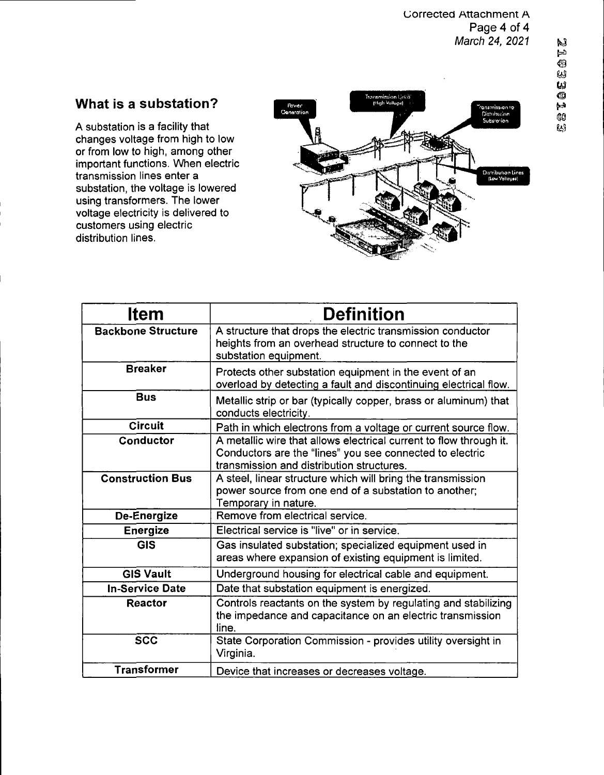#### **uorrected Attachment A Page 4 of 4** *March 24, 2021*

### **What is a substation?**

A substation is a facility that changes voltage from high to low or from low to high, among other important functions. When electric transmission lines enter a substation, the voltage is lowered using transformers. The lower voltage electricity is delivered to customers using electric distribution lines.



| ltem                      | <b>Definition</b>                                                                                                                                                           |
|---------------------------|-----------------------------------------------------------------------------------------------------------------------------------------------------------------------------|
| <b>Backbone Structure</b> | A structure that drops the electric transmission conductor<br>heights from an overhead structure to connect to the<br>substation equipment.                                 |
| <b>Breaker</b>            | Protects other substation equipment in the event of an<br>overload by detecting a fault and discontinuing electrical flow.                                                  |
| <b>Bus</b>                | Metallic strip or bar (typically copper, brass or aluminum) that<br>conducts electricity.                                                                                   |
| <b>Circuit</b>            | Path in which electrons from a voltage or current source flow.                                                                                                              |
| Conductor                 | A metallic wire that allows electrical current to flow through it.<br>Conductors are the "lines" you see connected to electric<br>transmission and distribution structures. |
| <b>Construction Bus</b>   | A steel, linear structure which will bring the transmission<br>power source from one end of a substation to another;<br>Temporary in nature.                                |
| De-Energize               | Remove from electrical service.                                                                                                                                             |
| Energize                  | Electrical service is "live" or in service.                                                                                                                                 |
| <b>GIS</b>                | Gas insulated substation; specialized equipment used in<br>areas where expansion of existing equipment is limited.                                                          |
| <b>GIS Vault</b>          | Underground housing for electrical cable and equipment.                                                                                                                     |
| <b>In-Service Date</b>    | Date that substation equipment is energized.                                                                                                                                |
| <b>Reactor</b>            | Controls reactants on the system by regulating and stabilizing<br>the impedance and capacitance on an electric transmission<br>line.                                        |
| <b>SCC</b>                | State Corporation Commission - provides utility oversight in<br>Virginia.                                                                                                   |
| <b>Transformer</b>        | Device that increases or decreases voltage.                                                                                                                                 |